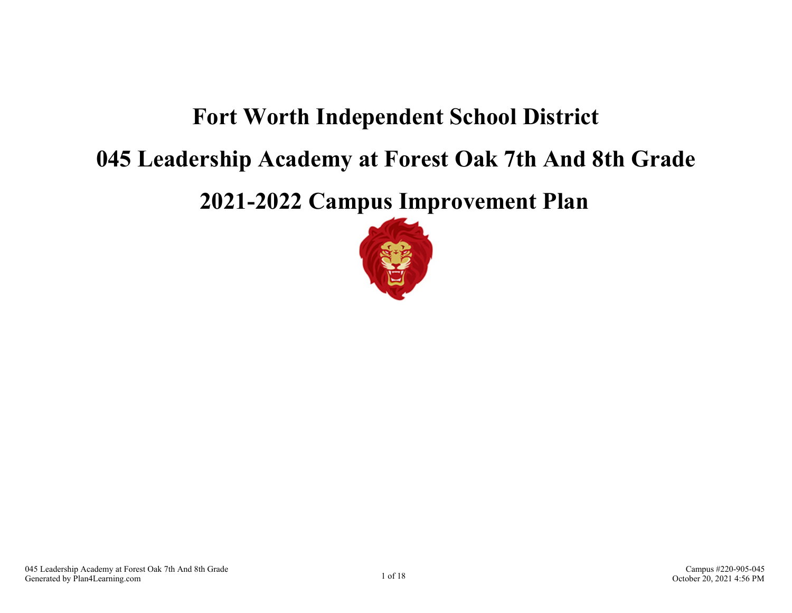## **Fort Worth Independent School District**

### **045 Leadership Academy at Forest Oak 7th And 8th Grade**

**2021-2022 Campus Improvement Plan**

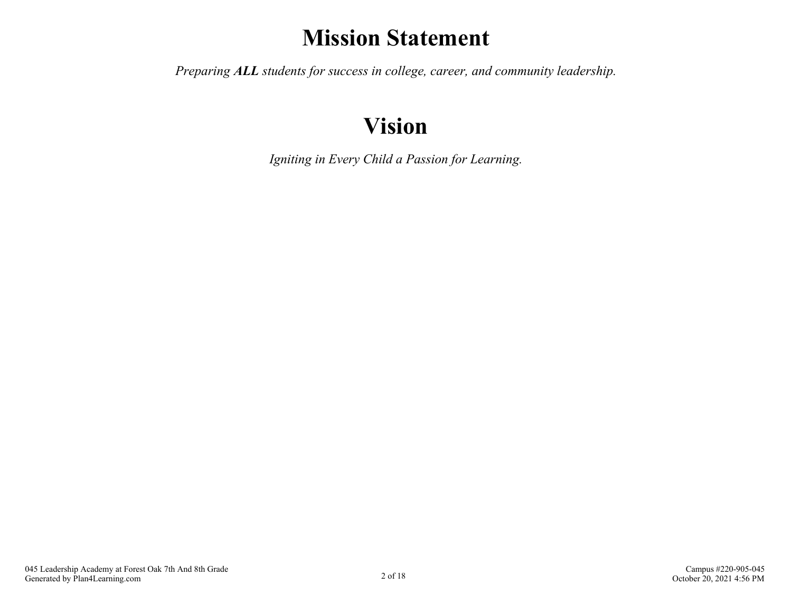## **Mission Statement**

*Preparing ALL students for success in college, career, and community leadership.*

## **Vision**

*Igniting in Every Child a Passion for Learning.*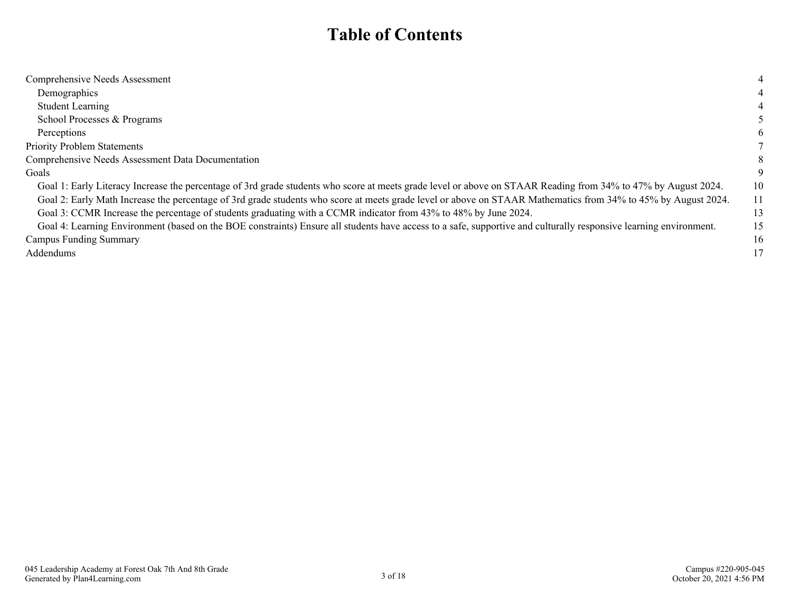### **Table of Contents**

| Comprehensive Needs Assessment                                                                                                                                    |    |
|-------------------------------------------------------------------------------------------------------------------------------------------------------------------|----|
| Demographics                                                                                                                                                      |    |
| <b>Student Learning</b>                                                                                                                                           |    |
| School Processes & Programs                                                                                                                                       |    |
| Perceptions                                                                                                                                                       |    |
| <b>Priority Problem Statements</b>                                                                                                                                |    |
| Comprehensive Needs Assessment Data Documentation                                                                                                                 | X. |
| Goals                                                                                                                                                             |    |
| Goal 1: Early Literacy Increase the percentage of 3rd grade students who score at meets grade level or above on STAAR Reading from 34% to 47% by August 2024.     | 10 |
| Goal 2: Early Math Increase the percentage of 3rd grade students who score at meets grade level or above on STAAR Mathematics from 34% to 45% by August 2024.     | 11 |
| Goal 3: CCMR Increase the percentage of students graduating with a CCMR indicator from 43% to 48% by June 2024.                                                   | 13 |
| Goal 4: Learning Environment (based on the BOE constraints) Ensure all students have access to a safe, supportive and culturally responsive learning environment. | 15 |
| <b>Campus Funding Summary</b>                                                                                                                                     | 16 |
| <b>Addendums</b>                                                                                                                                                  | 17 |
|                                                                                                                                                                   |    |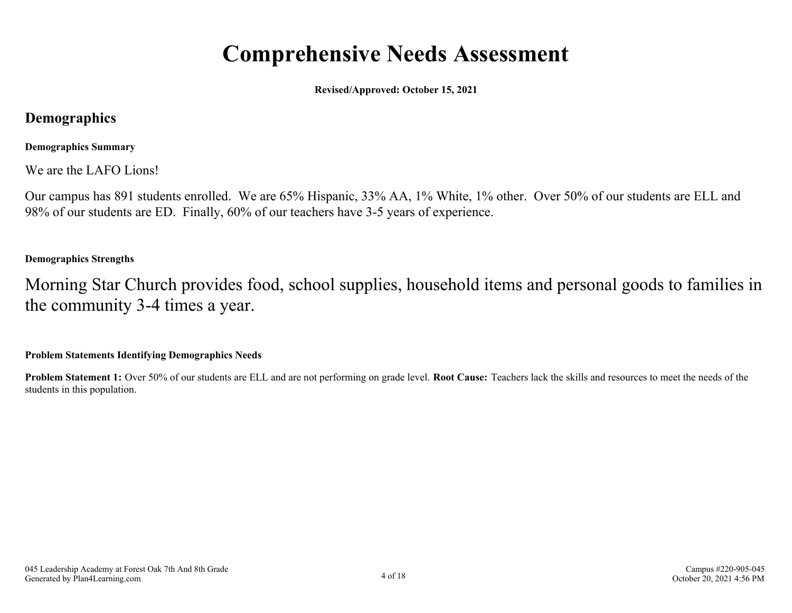### **Comprehensive Needs Assessment**

**Revised/Approved: October 15, 2021**

### <span id="page-3-0"></span>**Demographics**

### **Demographics Summary**

We are the LAFO Lions!

Our campus has 891 students enrolled. We are 65% Hispanic, 33% AA, 1% White, 1% other. Over 50% of our students are ELL and 98% of our students are ED. Finally, 60% of our teachers have 3-5 years of experience.

### **Demographics Strengths**

Morning Star Church provides food, school supplies, household items and personal goods to families in the community 3-4 times a year.

#### **Problem Statements Identifying Demographics Needs**

**Problem Statement 1:** Over 50% of our students are ELL and are not performing on grade level. **Root Cause:** Teachers lack the skills and resources to meet the needs of the students in this population.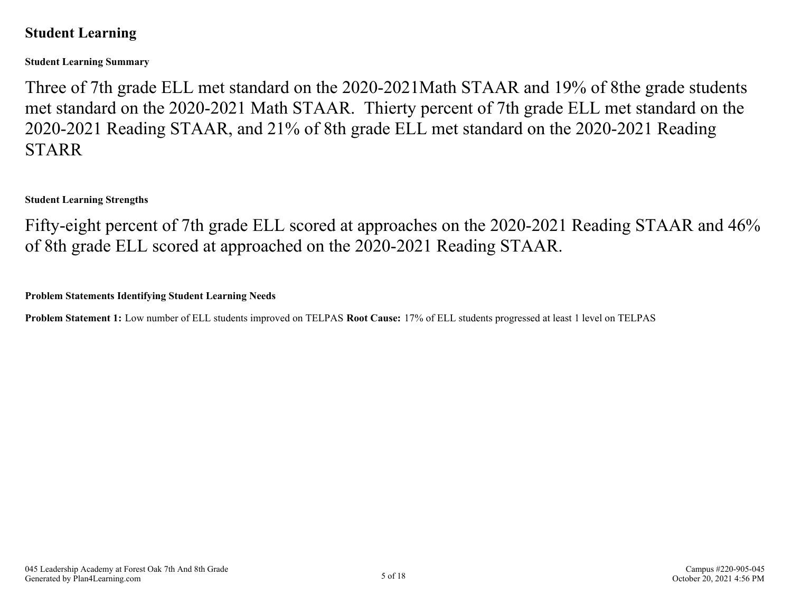### <span id="page-4-0"></span>**Student Learning**

**Student Learning Summary**

Three of 7th grade ELL met standard on the 2020-2021Math STAAR and 19% of 8the grade students met standard on the 2020-2021 Math STAAR. Thierty percent of 7th grade ELL met standard on the 2020-2021 Reading STAAR, and 21% of 8th grade ELL met standard on the 2020-2021 Reading STARR

**Student Learning Strengths**

Fifty-eight percent of 7th grade ELL scored at approaches on the 2020-2021 Reading STAAR and 46% of 8th grade ELL scored at approached on the 2020-2021 Reading STAAR.

**Problem Statements Identifying Student Learning Needs**

**Problem Statement 1:** Low number of ELL students improved on TELPAS **Root Cause:** 17% of ELL students progressed at least 1 level on TELPAS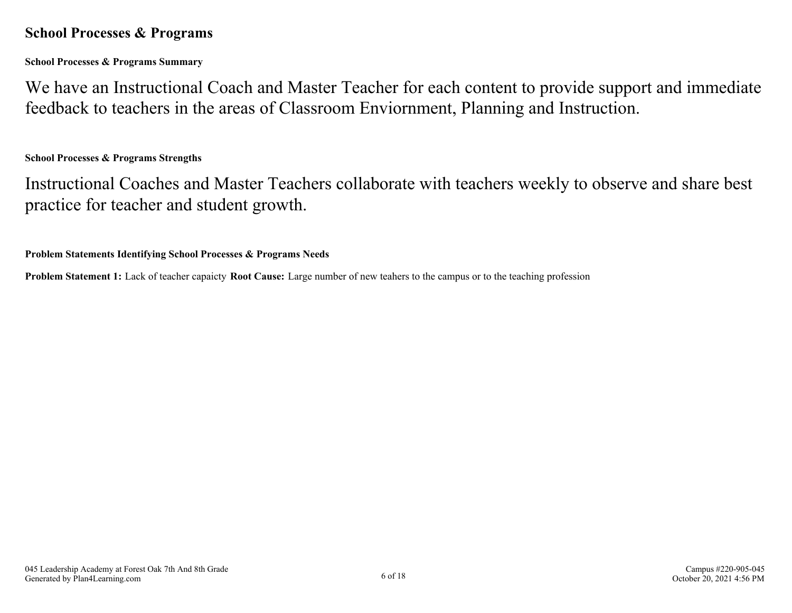### <span id="page-5-0"></span>**School Processes & Programs**

**School Processes & Programs Summary**

We have an Instructional Coach and Master Teacher for each content to provide support and immediate feedback to teachers in the areas of Classroom Enviornment, Planning and Instruction.

**School Processes & Programs Strengths**

Instructional Coaches and Master Teachers collaborate with teachers weekly to observe and share best practice for teacher and student growth.

**Problem Statements Identifying School Processes & Programs Needs**

**Problem Statement 1:** Lack of teacher capaicty **Root Cause:** Large number of new teahers to the campus or to the teaching profession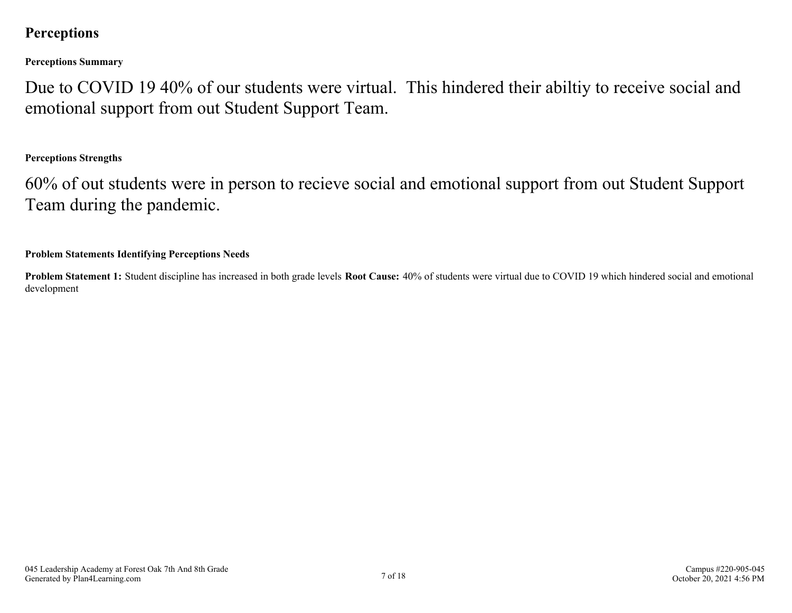### <span id="page-6-0"></span>**Perceptions**

**Perceptions Summary**

Due to COVID 19 40% of our students were virtual. This hindered their abiltiy to receive social and emotional support from out Student Support Team.

### **Perceptions Strengths**

60% of out students were in person to recieve social and emotional support from out Student Support Team during the pandemic.

#### **Problem Statements Identifying Perceptions Needs**

**Problem Statement 1:** Student discipline has increased in both grade levels **Root Cause:** 40% of students were virtual due to COVID 19 which hindered social and emotional development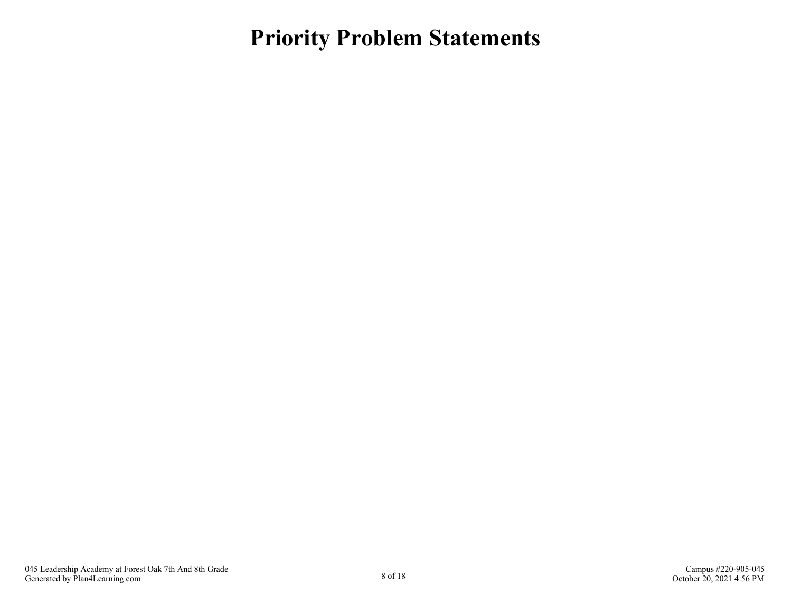### <span id="page-7-0"></span>**Priority Problem Statements**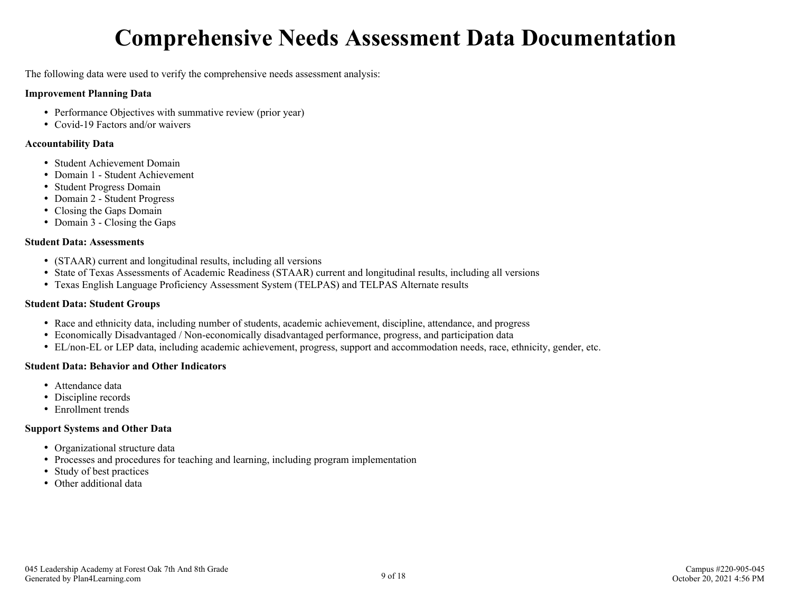## **Comprehensive Needs Assessment Data Documentation**

<span id="page-8-0"></span>The following data were used to verify the comprehensive needs assessment analysis:

#### **Improvement Planning Data**

- Performance Objectives with summative review (prior year)
- Covid-19 Factors and/or waivers

#### **Accountability Data**

- Student Achievement Domain
- Domain 1 Student Achievement
- Student Progress Domain
- Domain 2 Student Progress
- Closing the Gaps Domain
- Domain 3 Closing the Gaps

#### **Student Data: Assessments**

- (STAAR) current and longitudinal results, including all versions
- State of Texas Assessments of Academic Readiness (STAAR) current and longitudinal results, including all versions
- Texas English Language Proficiency Assessment System (TELPAS) and TELPAS Alternate results

#### **Student Data: Student Groups**

- Race and ethnicity data, including number of students, academic achievement, discipline, attendance, and progress
- Economically Disadvantaged / Non-economically disadvantaged performance, progress, and participation data
- EL/non-EL or LEP data, including academic achievement, progress, support and accommodation needs, race, ethnicity, gender, etc.

#### **Student Data: Behavior and Other Indicators**

- Attendance data
- Discipline records
- Enrollment trends

#### **Support Systems and Other Data**

- Organizational structure data
- Processes and procedures for teaching and learning, including program implementation
- Study of best practices
- Other additional data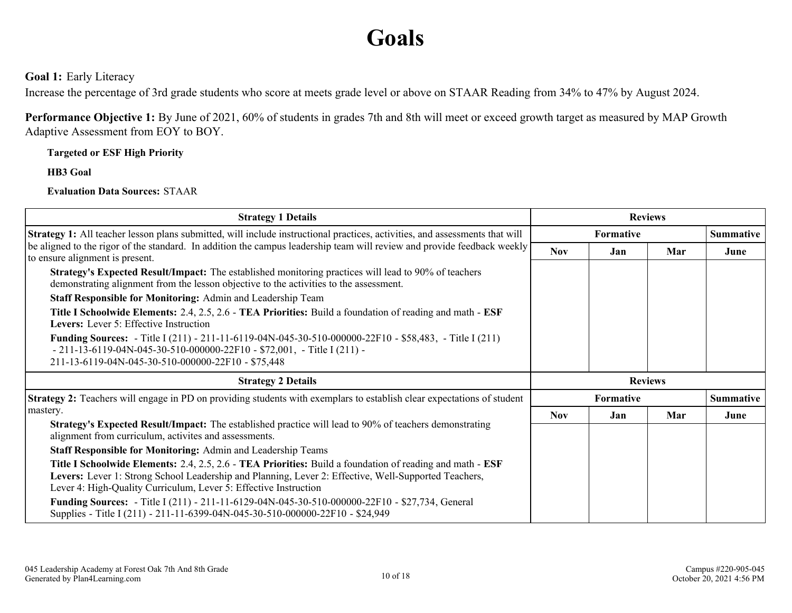## **Goals**

<span id="page-9-0"></span>**Goal 1:** Early Literacy

Increase the percentage of 3rd grade students who score at meets grade level or above on STAAR Reading from 34% to 47% by August 2024.

**Performance Objective 1:** By June of 2021, 60% of students in grades 7th and 8th will meet or exceed growth target as measured by MAP Growth Adaptive Assessment from EOY to BOY.

**Targeted or ESF High Priority**

**HB3 Goal**

**Evaluation Data Sources:** STAAR

| <b>Strategy 1 Details</b>                                                                                                                                                                                                                                                             |                  | <b>Reviews</b> |     |                  |
|---------------------------------------------------------------------------------------------------------------------------------------------------------------------------------------------------------------------------------------------------------------------------------------|------------------|----------------|-----|------------------|
| Strategy 1: All teacher lesson plans submitted, will include instructional practices, activities, and assessments that will                                                                                                                                                           | <b>Formative</b> |                |     | <b>Summative</b> |
| be aligned to the rigor of the standard. In addition the campus leadership team will review and provide feedback weekly<br>to ensure alignment is present.                                                                                                                            | <b>Nov</b>       | Jan            | Mar | June             |
| <b>Strategy's Expected Result/Impact:</b> The established monitoring practices will lead to 90% of teachers<br>demonstrating alignment from the lesson objective to the activities to the assessment.                                                                                 |                  |                |     |                  |
| Staff Responsible for Monitoring: Admin and Leadership Team                                                                                                                                                                                                                           |                  |                |     |                  |
| Title I Schoolwide Elements: 2.4, 2.5, 2.6 - TEA Priorities: Build a foundation of reading and math - ESF<br>Levers: Lever 5: Effective Instruction                                                                                                                                   |                  |                |     |                  |
| <b>Funding Sources:</b> - Title I (211) - 211-11-6119-04N-045-30-510-000000-22F10 - \$58,483, - Title I (211)<br>$-211-13-6119-04N-045-30-510-000000-22F10-$72,001, -Title I (211) -$<br>211-13-6119-04N-045-30-510-000000-22F10 - \$75,448                                           |                  |                |     |                  |
| <b>Strategy 2 Details</b>                                                                                                                                                                                                                                                             | <b>Reviews</b>   |                |     |                  |
| <b>Strategy 2:</b> Teachers will engage in PD on providing students with exemplars to establish clear expectations of student                                                                                                                                                         | Formative        |                |     | <b>Summative</b> |
| mastery.                                                                                                                                                                                                                                                                              | <b>Nov</b>       | Jan            | Mar | June             |
| <b>Strategy's Expected Result/Impact:</b> The established practice will lead to 90% of teachers demonstrating<br>alignment from curriculum, activites and assessments.                                                                                                                |                  |                |     |                  |
| <b>Staff Responsible for Monitoring: Admin and Leadership Teams</b>                                                                                                                                                                                                                   |                  |                |     |                  |
| Title I Schoolwide Elements: 2.4, 2.5, 2.6 - TEA Priorities: Build a foundation of reading and math - ESF<br>Levers: Lever 1: Strong School Leadership and Planning, Lever 2: Effective, Well-Supported Teachers,<br>Lever 4: High-Quality Curriculum, Lever 5: Effective Instruction |                  |                |     |                  |
| <b>Funding Sources:</b> - Title I (211) - 211-11-6129-04N-045-30-510-000000-22F10 - \$27,734, General<br>Supplies - Title I (211) - 211-11-6399-04N-045-30-510-000000-22F10 - \$24,949                                                                                                |                  |                |     |                  |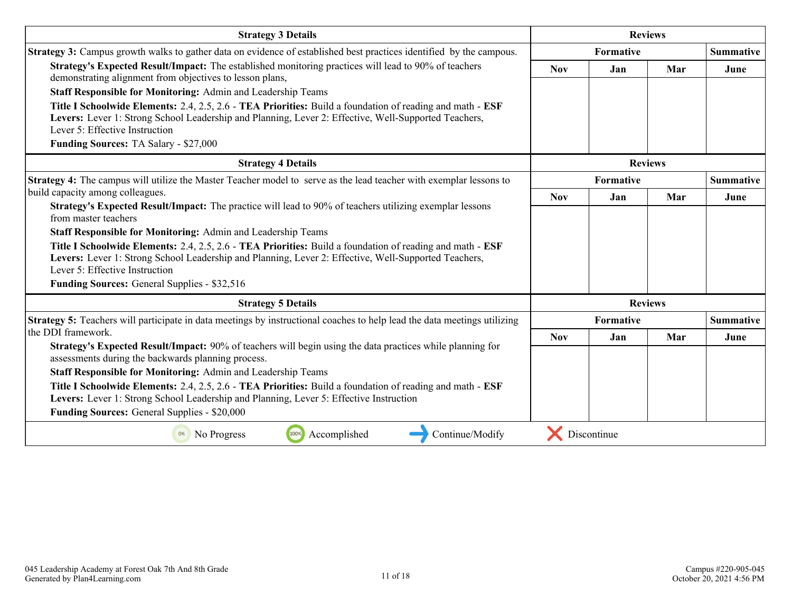| <b>Strategy 3 Details</b>                                                                                                                                                                                                                           |            |             | <b>Reviews</b> |                  |  |  |
|-----------------------------------------------------------------------------------------------------------------------------------------------------------------------------------------------------------------------------------------------------|------------|-------------|----------------|------------------|--|--|
| <b>Strategy 3:</b> Campus growth walks to gather data on evidence of established best practices identified by the campous.                                                                                                                          |            | Formative   |                | <b>Summative</b> |  |  |
| Strategy's Expected Result/Impact: The established monitoring practices will lead to 90% of teachers<br>demonstrating alignment from objectives to lesson plans,<br>Staff Responsible for Monitoring: Admin and Leadership Teams                    | <b>Nov</b> | Jan         | Mar            | June             |  |  |
| Title I Schoolwide Elements: 2.4, 2.5, 2.6 - TEA Priorities: Build a foundation of reading and math - ESF<br>Levers: Lever 1: Strong School Leadership and Planning, Lever 2: Effective, Well-Supported Teachers,<br>Lever 5: Effective Instruction |            |             |                |                  |  |  |
| <b>Funding Sources: TA Salary - \$27,000</b>                                                                                                                                                                                                        |            |             |                |                  |  |  |
| <b>Strategy 4 Details</b>                                                                                                                                                                                                                           |            |             | <b>Reviews</b> |                  |  |  |
| <b>Strategy 4:</b> The campus will utilize the Master Teacher model to serve as the lead teacher with exemplar lessons to                                                                                                                           |            | Formative   |                | <b>Summative</b> |  |  |
| build capacity among colleagues.                                                                                                                                                                                                                    | <b>Nov</b> | Jan         | Mar            | June             |  |  |
| Strategy's Expected Result/Impact: The practice will lead to 90% of teachers utilizing exemplar lessons<br>from master teachers                                                                                                                     |            |             |                |                  |  |  |
| <b>Staff Responsible for Monitoring: Admin and Leadership Teams</b>                                                                                                                                                                                 |            |             |                |                  |  |  |
| Title I Schoolwide Elements: 2.4, 2.5, 2.6 - TEA Priorities: Build a foundation of reading and math - ESF<br>Levers: Lever 1: Strong School Leadership and Planning, Lever 2: Effective, Well-Supported Teachers,<br>Lever 5: Effective Instruction |            |             |                |                  |  |  |
| Funding Sources: General Supplies - \$32,516                                                                                                                                                                                                        |            |             |                |                  |  |  |
| <b>Strategy 5 Details</b>                                                                                                                                                                                                                           |            |             | <b>Reviews</b> |                  |  |  |
| Strategy 5: Teachers will participate in data meetings by instructional coaches to help lead the data meetings utilizing                                                                                                                            |            | Formative   |                | <b>Summative</b> |  |  |
| the DDI framework.                                                                                                                                                                                                                                  | <b>Nov</b> | Jan         | Mar            | June             |  |  |
| Strategy's Expected Result/Impact: 90% of teachers will begin using the data practices while planning for<br>assessments during the backwards planning process.                                                                                     |            |             |                |                  |  |  |
| Staff Responsible for Monitoring: Admin and Leadership Teams                                                                                                                                                                                        |            |             |                |                  |  |  |
| Title I Schoolwide Elements: 2.4, 2.5, 2.6 - TEA Priorities: Build a foundation of reading and math - ESF<br>Levers: Lever 1: Strong School Leadership and Planning, Lever 5: Effective Instruction                                                 |            |             |                |                  |  |  |
| Funding Sources: General Supplies - \$20,000                                                                                                                                                                                                        |            |             |                |                  |  |  |
| 100%<br>Continue/Modify<br>Accomplished<br>0%<br>No Progress                                                                                                                                                                                        |            | Discontinue |                |                  |  |  |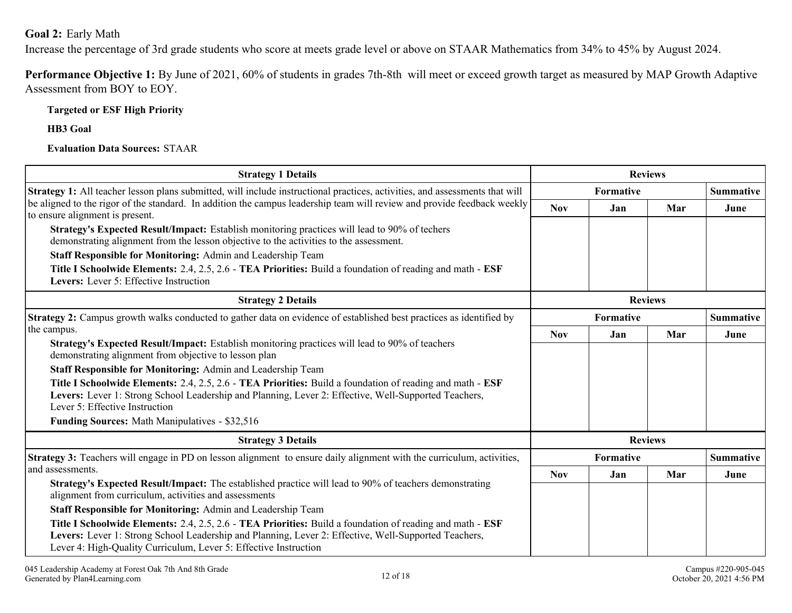#### <span id="page-11-0"></span>**Goal 2:** Early Math

Increase the percentage of 3rd grade students who score at meets grade level or above on STAAR Mathematics from 34% to 45% by August 2024.

**Performance Objective 1:** By June of 2021, 60% of students in grades 7th-8th will meet or exceed growth target as measured by MAP Growth Adaptive Assessment from BOY to EOY.

**Targeted or ESF High Priority**

**HB3 Goal**

**Evaluation Data Sources:** STAAR

| <b>Strategy 1 Details</b>                                                                                                                                                                                                                                                             |            |           | <b>Reviews</b> |                  |
|---------------------------------------------------------------------------------------------------------------------------------------------------------------------------------------------------------------------------------------------------------------------------------------|------------|-----------|----------------|------------------|
| Strategy 1: All teacher lesson plans submitted, will include instructional practices, activities, and assessments that will<br>Formative                                                                                                                                              |            |           |                | <b>Summative</b> |
| be aligned to the rigor of the standard. In addition the campus leadership team will review and provide feedback weekly<br>to ensure alignment is present.                                                                                                                            | <b>Nov</b> | Jan       | Mar            | June             |
| Strategy's Expected Result/Impact: Establish monitoring practices will lead to 90% of techers<br>demonstrating alignment from the lesson objective to the activities to the assessment.                                                                                               |            |           |                |                  |
| Staff Responsible for Monitoring: Admin and Leadership Team                                                                                                                                                                                                                           |            |           |                |                  |
| Title I Schoolwide Elements: 2.4, 2.5, 2.6 - TEA Priorities: Build a foundation of reading and math - ESF<br>Levers: Lever 5: Effective Instruction                                                                                                                                   |            |           |                |                  |
| <b>Strategy 2 Details</b>                                                                                                                                                                                                                                                             |            |           | <b>Reviews</b> |                  |
| Strategy 2: Campus growth walks conducted to gather data on evidence of established best practices as identified by                                                                                                                                                                   | Formative  |           |                | <b>Summative</b> |
| the campus.                                                                                                                                                                                                                                                                           | <b>Nov</b> | Jan       | Mar            | June             |
| Strategy's Expected Result/Impact: Establish monitoring practices will lead to 90% of teachers<br>demonstrating alignment from objective to lesson plan                                                                                                                               |            |           |                |                  |
| Staff Responsible for Monitoring: Admin and Leadership Team                                                                                                                                                                                                                           |            |           |                |                  |
| Title I Schoolwide Elements: 2.4, 2.5, 2.6 - TEA Priorities: Build a foundation of reading and math - ESF<br>Levers: Lever 1: Strong School Leadership and Planning, Lever 2: Effective, Well-Supported Teachers,<br>Lever 5: Effective Instruction                                   |            |           |                |                  |
| Funding Sources: Math Manipulatives - \$32,516                                                                                                                                                                                                                                        |            |           |                |                  |
| <b>Strategy 3 Details</b>                                                                                                                                                                                                                                                             |            |           | <b>Reviews</b> |                  |
| Strategy 3: Teachers will engage in PD on lesson alignment to ensure daily alignment with the curriculum, activities,                                                                                                                                                                 |            | Formative |                | <b>Summative</b> |
| and assessments.                                                                                                                                                                                                                                                                      | <b>Nov</b> | Jan       | Mar            | June             |
| Strategy's Expected Result/Impact: The established practice will lead to 90% of teachers demonstrating<br>alignment from curriculum, activities and assessments                                                                                                                       |            |           |                |                  |
| Staff Responsible for Monitoring: Admin and Leadership Team                                                                                                                                                                                                                           |            |           |                |                  |
| Title I Schoolwide Elements: 2.4, 2.5, 2.6 - TEA Priorities: Build a foundation of reading and math - ESF<br>Levers: Lever 1: Strong School Leadership and Planning, Lever 2: Effective, Well-Supported Teachers,<br>Lever 4: High-Quality Curriculum, Lever 5: Effective Instruction |            |           |                |                  |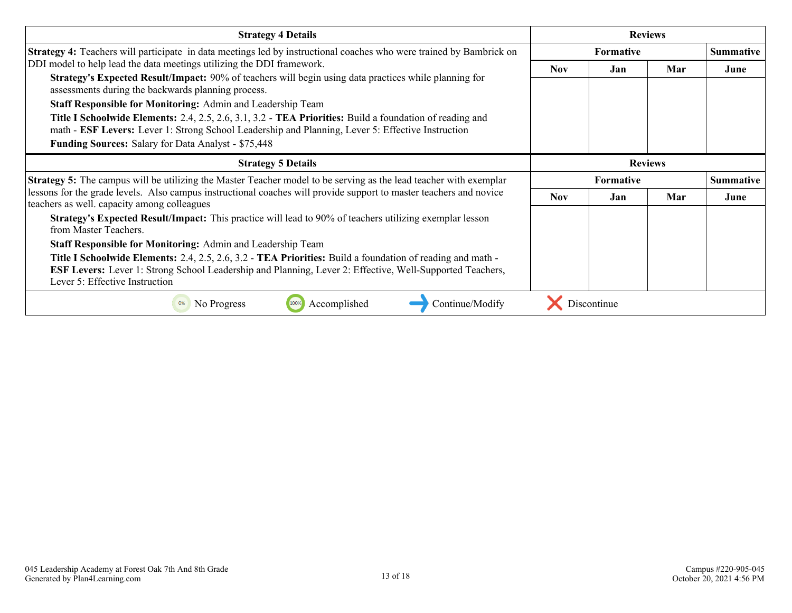| <b>Strategy 4 Details</b>                                                                                                                                                                                                                                                                                                                                                                                                                                                                                                                                                                 |                  |             | <b>Reviews</b> |                  |
|-------------------------------------------------------------------------------------------------------------------------------------------------------------------------------------------------------------------------------------------------------------------------------------------------------------------------------------------------------------------------------------------------------------------------------------------------------------------------------------------------------------------------------------------------------------------------------------------|------------------|-------------|----------------|------------------|
| <b>Strategy 4:</b> Teachers will participate in data meetings led by instructional coaches who were trained by Bambrick on                                                                                                                                                                                                                                                                                                                                                                                                                                                                | <b>Formative</b> |             |                | <b>Summative</b> |
| DDI model to help lead the data meetings utilizing the DDI framework.<br>Strategy's Expected Result/Impact: 90% of teachers will begin using data practices while planning for<br>assessments during the backwards planning process.<br><b>Staff Responsible for Monitoring: Admin and Leadership Team</b><br>Title I Schoolwide Elements: 2.4, 2.5, 2.6, 3.1, 3.2 - TEA Priorities: Build a foundation of reading and<br>math - ESF Levers: Lever 1: Strong School Leadership and Planning, Lever 5: Effective Instruction<br><b>Funding Sources: Salary for Data Analyst - \$75,448</b> | Nov.             | Jan         | Mar            | June             |
| <b>Strategy 5 Details</b>                                                                                                                                                                                                                                                                                                                                                                                                                                                                                                                                                                 |                  |             | <b>Reviews</b> |                  |
| <b>Strategy 5:</b> The campus will be utilizing the Master Teacher model to be serving as the lead teacher with exemplar                                                                                                                                                                                                                                                                                                                                                                                                                                                                  | <b>Formative</b> |             |                | <b>Summative</b> |
| lessons for the grade levels. Also campus instructional coaches will provide support to master teachers and novice<br>teachers as well. capacity among colleagues                                                                                                                                                                                                                                                                                                                                                                                                                         | <b>Nov</b>       | Jan         | Mar            | June             |
| <b>Strategy's Expected Result/Impact:</b> This practice will lead to 90% of teachers utilizing exemplar lesson<br>from Master Teachers.<br><b>Staff Responsible for Monitoring: Admin and Leadership Team</b>                                                                                                                                                                                                                                                                                                                                                                             |                  |             |                |                  |
| <b>Title I Schoolwide Elements:</b> 2.4, 2.5, 2.6, 3.2 - TEA Priorities: Build a foundation of reading and math -<br><b>ESF Levers:</b> Lever 1: Strong School Leadership and Planning, Lever 2: Effective, Well-Supported Teachers,<br>Lever 5: Effective Instruction                                                                                                                                                                                                                                                                                                                    |                  |             |                |                  |
| Accomplished<br>Continue/Modify<br>No Progress<br>100%<br>0%                                                                                                                                                                                                                                                                                                                                                                                                                                                                                                                              |                  | Discontinue |                |                  |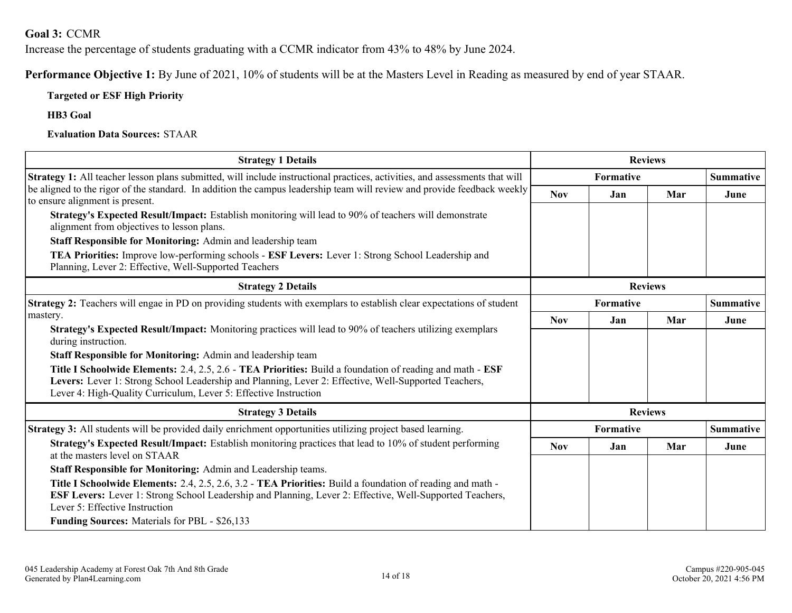### <span id="page-13-0"></span>**Goal 3:** CCMR

Increase the percentage of students graduating with a CCMR indicator from 43% to 48% by June 2024.

**Performance Objective 1:** By June of 2021, 10% of students will be at the Masters Level in Reading as measured by end of year STAAR.

#### **Targeted or ESF High Priority**

**HB3 Goal**

**Evaluation Data Sources:** STAAR

| <b>Strategy 1 Details</b>                                                                                                                                                                                                                                                             |                  |           | <b>Reviews</b> |                  |  |  |
|---------------------------------------------------------------------------------------------------------------------------------------------------------------------------------------------------------------------------------------------------------------------------------------|------------------|-----------|----------------|------------------|--|--|
| Strategy 1: All teacher lesson plans submitted, will include instructional practices, activities, and assessments that will                                                                                                                                                           | <b>Formative</b> |           |                | <b>Summative</b> |  |  |
| be aligned to the rigor of the standard. In addition the campus leadership team will review and provide feedback weekly<br>to ensure alignment is present.                                                                                                                            | <b>Nov</b>       | Jan       | Mar            | June             |  |  |
| Strategy's Expected Result/Impact: Establish monitoring will lead to 90% of teachers will demonstrate<br>alignment from objectives to lesson plans.                                                                                                                                   |                  |           |                |                  |  |  |
| Staff Responsible for Monitoring: Admin and leadership team                                                                                                                                                                                                                           |                  |           |                |                  |  |  |
| TEA Priorities: Improve low-performing schools - ESF Levers: Lever 1: Strong School Leadership and<br>Planning, Lever 2: Effective, Well-Supported Teachers                                                                                                                           |                  |           |                |                  |  |  |
| <b>Strategy 2 Details</b>                                                                                                                                                                                                                                                             |                  |           | <b>Reviews</b> |                  |  |  |
| Strategy 2: Teachers will engae in PD on providing students with exemplars to establish clear expectations of student                                                                                                                                                                 |                  | Formative |                | <b>Summative</b> |  |  |
| mastery.<br>Strategy's Expected Result/Impact: Monitoring practices will lead to 90% of teachers utilizing exemplars<br>during instruction.                                                                                                                                           |                  | Jan       | Mar            | June             |  |  |
|                                                                                                                                                                                                                                                                                       |                  |           |                |                  |  |  |
| Staff Responsible for Monitoring: Admin and leadership team                                                                                                                                                                                                                           |                  |           |                |                  |  |  |
| Title I Schoolwide Elements: 2.4, 2.5, 2.6 - TEA Priorities: Build a foundation of reading and math - ESF<br>Levers: Lever 1: Strong School Leadership and Planning, Lever 2: Effective, Well-Supported Teachers,<br>Lever 4: High-Quality Curriculum, Lever 5: Effective Instruction |                  |           |                |                  |  |  |
| <b>Strategy 3 Details</b>                                                                                                                                                                                                                                                             |                  |           | <b>Reviews</b> |                  |  |  |
| Strategy 3: All students will be provided daily enrichment opportunities utilizing project based learning.                                                                                                                                                                            |                  | Formative |                | <b>Summative</b> |  |  |
| Strategy's Expected Result/Impact: Establish monitoring practices that lead to 10% of student performing<br>at the masters level on STAAR                                                                                                                                             |                  | Jan       | Mar            | June             |  |  |
| Staff Responsible for Monitoring: Admin and Leadership teams.                                                                                                                                                                                                                         |                  |           |                |                  |  |  |
| Title I Schoolwide Elements: 2.4, 2.5, 2.6, 3.2 - TEA Priorities: Build a foundation of reading and math -<br><b>ESF Levers:</b> Lever 1: Strong School Leadership and Planning, Lever 2: Effective, Well-Supported Teachers,<br>Lever 5: Effective Instruction                       |                  |           |                |                  |  |  |
| <b>Funding Sources:</b> Materials for PBL - \$26,133                                                                                                                                                                                                                                  |                  |           |                |                  |  |  |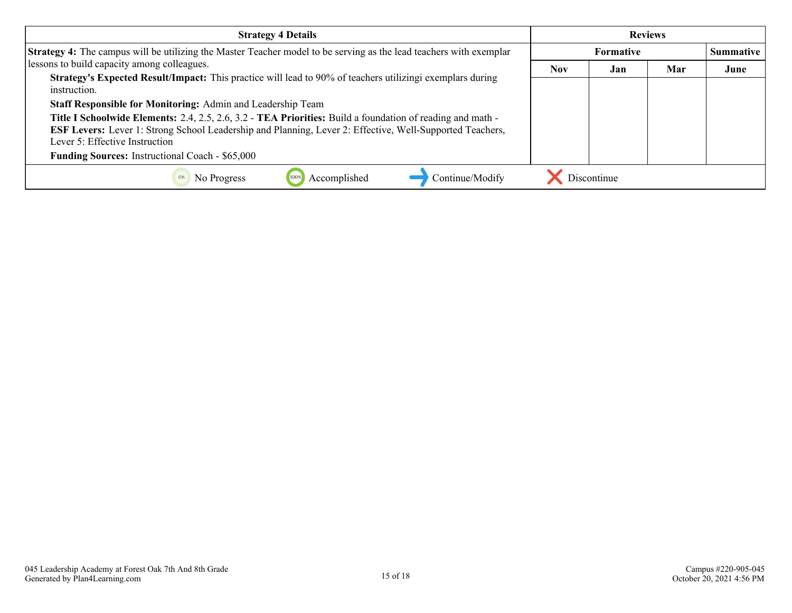| <b>Strategy 4 Details</b>                                                                                                                                                                                                                                |            |                  | <b>Reviews</b> |      |
|----------------------------------------------------------------------------------------------------------------------------------------------------------------------------------------------------------------------------------------------------------|------------|------------------|----------------|------|
| <b>Strategy 4:</b> The campus will be utilizing the Master Teacher model to be serving as the lead teachers with exemplar                                                                                                                                |            | <b>Summative</b> |                |      |
| lessons to build capacity among colleagues.                                                                                                                                                                                                              | <b>Nov</b> | Jan              | Mar            | June |
| Strategy's Expected Result/Impact: This practice will lead to 90% of teachers utilizing exemplars during<br>instruction.                                                                                                                                 |            |                  |                |      |
| Staff Responsible for Monitoring: Admin and Leadership Team                                                                                                                                                                                              |            |                  |                |      |
| Title I Schoolwide Elements: 2.4, 2.5, 2.6, 3.2 - TEA Priorities: Build a foundation of reading and math -<br>ESF Levers: Lever 1: Strong School Leadership and Planning, Lever 2: Effective, Well-Supported Teachers,<br>Lever 5: Effective Instruction |            |                  |                |      |
| <b>Funding Sources:</b> Instructional Coach - \$65,000                                                                                                                                                                                                   |            |                  |                |      |
| Continue/Modify<br>Accomplished<br>No Progress                                                                                                                                                                                                           |            | Discontinue      |                |      |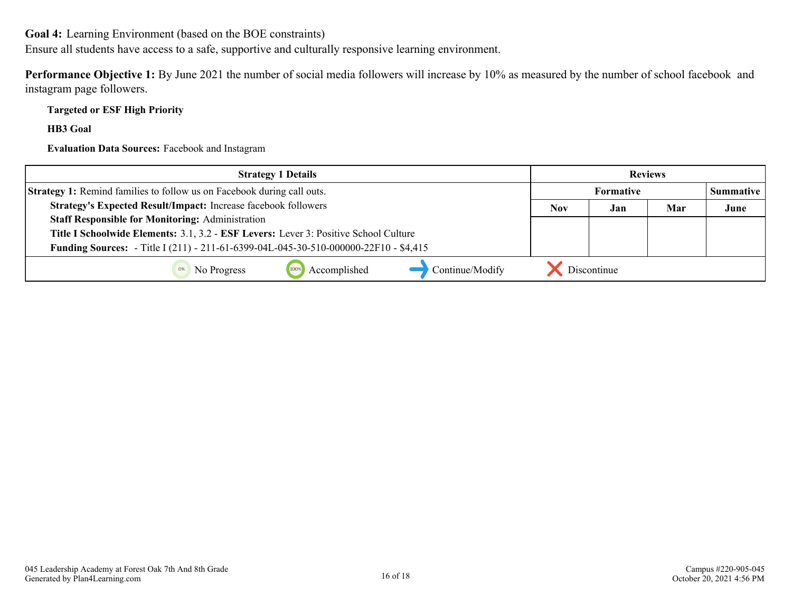<span id="page-15-0"></span>**Goal 4:** Learning Environment (based on the BOE constraints)

Ensure all students have access to a safe, supportive and culturally responsive learning environment.

**Performance Objective 1:** By June 2021 the number of social media followers will increase by 10% as measured by the number of school facebook and instagram page followers.

**Targeted or ESF High Priority**

**HB3 Goal**

**Evaluation Data Sources:** Facebook and Instagram

| <b>Strategy 1 Details</b>                                                                   |            | <b>Reviews</b>   |     |                  |
|---------------------------------------------------------------------------------------------|------------|------------------|-----|------------------|
| <b>Strategy 1:</b> Remind families to follow us on Facebook during call outs.               |            | <b>Formative</b> |     | <b>Summative</b> |
| Strategy's Expected Result/Impact: Increase facebook followers                              | <b>Nov</b> | Jan              | Mar | June             |
| <b>Staff Responsible for Monitoring: Administration</b>                                     |            |                  |     |                  |
| Title I Schoolwide Elements: 3.1, 3.2 - ESF Levers: Lever 3: Positive School Culture        |            |                  |     |                  |
| <b>Funding Sources:</b> - Title I (211) - 211-61-6399-04L-045-30-510-000000-22F10 - \$4,415 |            |                  |     |                  |
| Accomplished<br>Continue/Modify<br>No Progress                                              |            | Discontinue      |     |                  |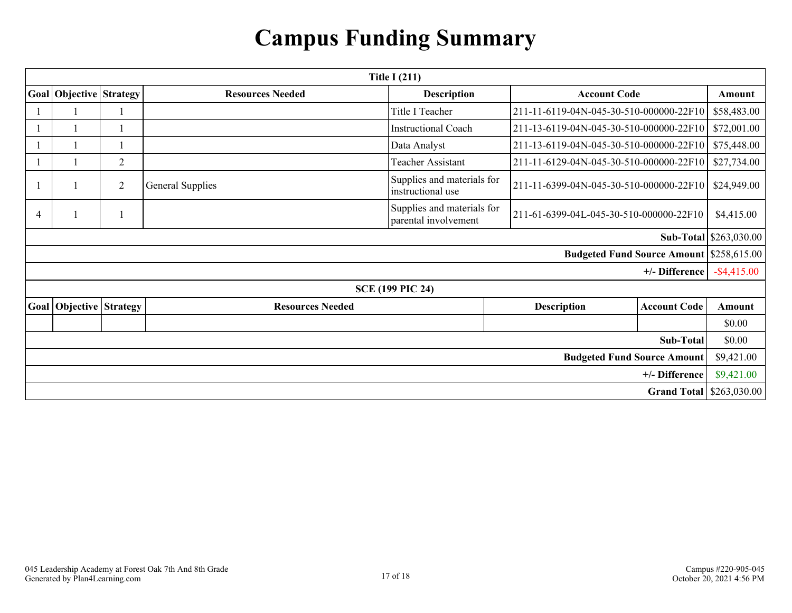# **Campus Funding Summary**

<span id="page-16-0"></span>

| Title I $(211)$                    |                         |                |                         |                                                    |                                                 |                     |                        |
|------------------------------------|-------------------------|----------------|-------------------------|----------------------------------------------------|-------------------------------------------------|---------------------|------------------------|
|                                    | Goal Objective Strategy |                | <b>Resources Needed</b> | <b>Description</b>                                 | <b>Account Code</b>                             |                     | Amount                 |
|                                    |                         |                |                         | Title I Teacher                                    | 211-11-6119-04N-045-30-510-000000-22F10         |                     | \$58,483.00            |
|                                    |                         |                |                         | <b>Instructional Coach</b>                         | 211-13-6119-04N-045-30-510-000000-22F10         |                     | \$72,001.00            |
|                                    |                         |                |                         | Data Analyst                                       | 211-13-6119-04N-045-30-510-000000-22F10         |                     | \$75,448.00            |
|                                    |                         | $\overline{2}$ |                         | <b>Teacher Assistant</b>                           | 211-11-6129-04N-045-30-510-000000-22F10         |                     | \$27,734.00            |
|                                    |                         | $\overline{2}$ | <b>General Supplies</b> | Supplies and materials for<br>instructional use    | 211-11-6399-04N-045-30-510-000000-22F10         |                     | \$24,949.00            |
| $\overline{4}$                     |                         |                |                         | Supplies and materials for<br>parental involvement | 211-61-6399-04L-045-30-510-000000-22F10         |                     | \$4,415.00             |
|                                    |                         |                |                         |                                                    |                                                 |                     | Sub-Total \$263,030.00 |
|                                    |                         |                |                         |                                                    | <b>Budgeted Fund Source Amount \$258,615.00</b> |                     |                        |
|                                    |                         |                |                         |                                                    |                                                 | +/- Difference      | $-$ \$4,415.00         |
|                                    |                         |                |                         | <b>SCE (199 PIC 24)</b>                            |                                                 |                     |                        |
|                                    | Goal Objective Strategy |                | <b>Resources Needed</b> |                                                    | <b>Description</b>                              | <b>Account Code</b> | Amount                 |
|                                    |                         |                |                         |                                                    |                                                 |                     | \$0.00                 |
| Sub-Total                          |                         |                |                         |                                                    |                                                 |                     | \$0.00                 |
| <b>Budgeted Fund Source Amount</b> |                         |                |                         |                                                    |                                                 |                     | \$9,421.00             |
|                                    |                         |                |                         |                                                    |                                                 | +/- Difference      | \$9,421.00             |
| <b>Grand Total   \$263,030.00</b>  |                         |                |                         |                                                    |                                                 |                     |                        |